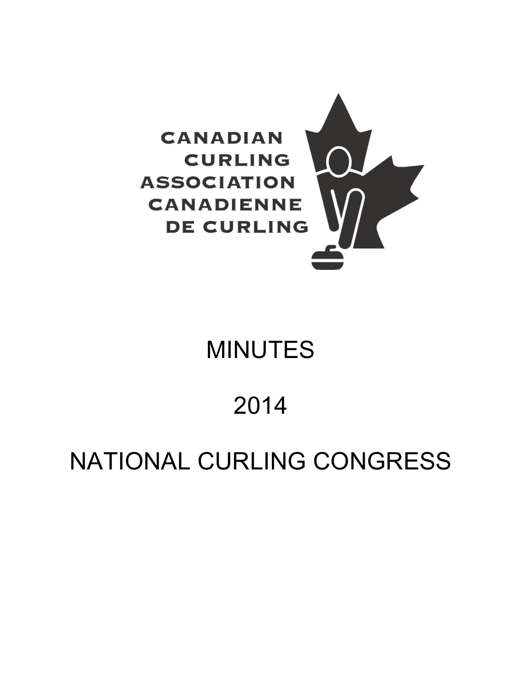

# MINUTES

# 2014

# NATIONAL CURLING CONGRESS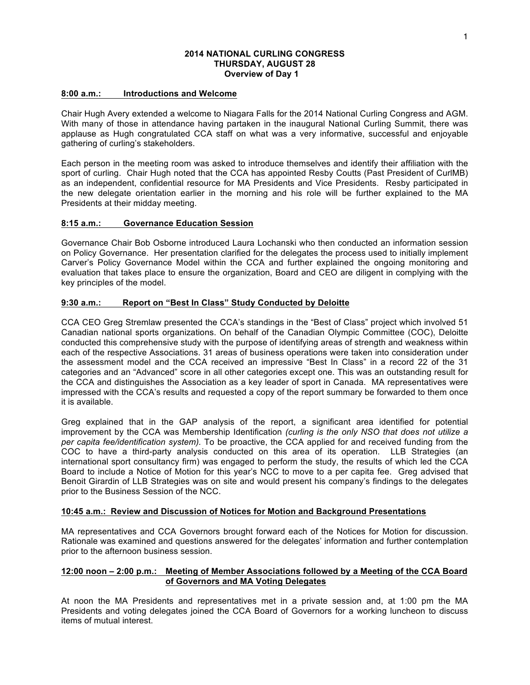#### **2014 NATIONAL CURLING CONGRESS THURSDAY, AUGUST 28 Overview of Day 1**

#### **8:00 a.m.: Introductions and Welcome**

Chair Hugh Avery extended a welcome to Niagara Falls for the 2014 National Curling Congress and AGM. With many of those in attendance having partaken in the inaugural National Curling Summit, there was applause as Hugh congratulated CCA staff on what was a very informative, successful and enjoyable gathering of curling's stakeholders.

Each person in the meeting room was asked to introduce themselves and identify their affiliation with the sport of curling. Chair Hugh noted that the CCA has appointed Resby Coutts (Past President of CurlMB) as an independent, confidential resource for MA Presidents and Vice Presidents. Resby participated in the new delegate orientation earlier in the morning and his role will be further explained to the MA Presidents at their midday meeting.

#### **8:15 a.m.: Governance Education Session**

Governance Chair Bob Osborne introduced Laura Lochanski who then conducted an information session on Policy Governance. Her presentation clarified for the delegates the process used to initially implement Carver's Policy Governance Model within the CCA and further explained the ongoing monitoring and evaluation that takes place to ensure the organization, Board and CEO are diligent in complying with the key principles of the model.

#### **9:30 a.m.: Report on "Best In Class" Study Conducted by Deloitte**

CCA CEO Greg Stremlaw presented the CCA's standings in the "Best of Class" project which involved 51 Canadian national sports organizations. On behalf of the Canadian Olympic Committee (COC), Deloitte conducted this comprehensive study with the purpose of identifying areas of strength and weakness within each of the respective Associations. 31 areas of business operations were taken into consideration under the assessment model and the CCA received an impressive "Best In Class" in a record 22 of the 31 categories and an "Advanced" score in all other categories except one. This was an outstanding result for the CCA and distinguishes the Association as a key leader of sport in Canada. MA representatives were impressed with the CCA's results and requested a copy of the report summary be forwarded to them once it is available.

Greg explained that in the GAP analysis of the report, a significant area identified for potential improvement by the CCA was Membership Identification *(curling is the only NSO that does not utilize a per capita fee/identification system).* To be proactive, the CCA applied for and received funding from the COC to have a third-party analysis conducted on this area of its operation. LLB Strategies (an international sport consultancy firm) was engaged to perform the study, the results of which led the CCA Board to include a Notice of Motion for this year's NCC to move to a per capita fee. Greg advised that Benoit Girardin of LLB Strategies was on site and would present his company's findings to the delegates prior to the Business Session of the NCC.

#### **10:45 a.m.: Review and Discussion of Notices for Motion and Background Presentations**

MA representatives and CCA Governors brought forward each of the Notices for Motion for discussion. Rationale was examined and questions answered for the delegates' information and further contemplation prior to the afternoon business session.

### **12:00 noon – 2:00 p.m.: Meeting of Member Associations followed by a Meeting of the CCA Board of Governors and MA Voting Delegates**

At noon the MA Presidents and representatives met in a private session and, at 1:00 pm the MA Presidents and voting delegates joined the CCA Board of Governors for a working luncheon to discuss items of mutual interest.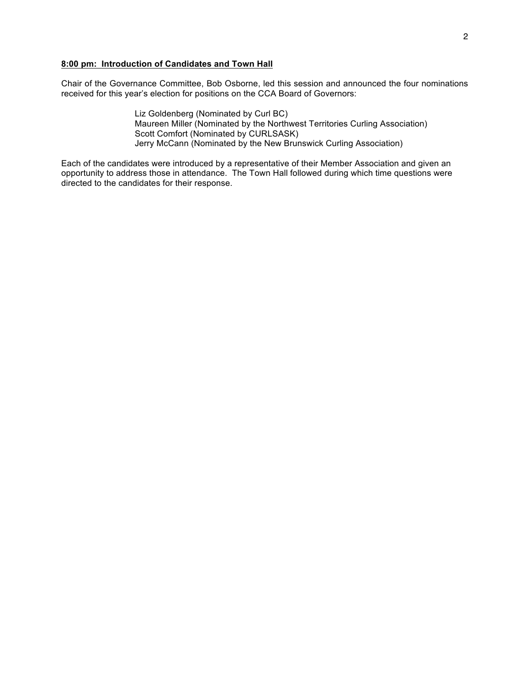# **8:00 pm: Introduction of Candidates and Town Hall**

Chair of the Governance Committee, Bob Osborne, led this session and announced the four nominations received for this year's election for positions on the CCA Board of Governors:

> Liz Goldenberg (Nominated by Curl BC) Maureen Miller (Nominated by the Northwest Territories Curling Association) Scott Comfort (Nominated by CURLSASK) Jerry McCann (Nominated by the New Brunswick Curling Association)

Each of the candidates were introduced by a representative of their Member Association and given an opportunity to address those in attendance. The Town Hall followed during which time questions were directed to the candidates for their response.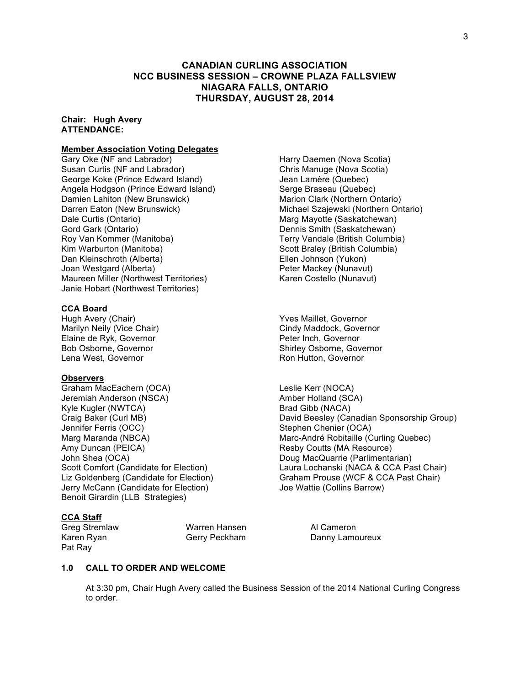# **CANADIAN CURLING ASSOCIATION NCC BUSINESS SESSION – CROWNE PLAZA FALLSVIEW NIAGARA FALLS, ONTARIO THURSDAY, AUGUST 28, 2014**

#### **Chair: Hugh Avery ATTENDANCE:**

#### **Member Association Voting Delegates**

Gary Oke (NF and Labrador) **Harry Daemen (Nova Scotia)** Harry Daemen (Nova Scotia) Susan Curtis (NF and Labrador) Chris Manuge (Nova Scotia) George Koke (Prince Edward Island) Jean Lamère (Quebec) Angela Hodgson (Prince Edward Island) Serge Braseau (Quebec) Damien Lahiton (New Brunswick)<br>
Darren Eaton (New Brunswick) Marion Clark (Northern Ontario)<br>
Michael Szajewski (Northern On Dale Curtis (Ontario) and Marg Mayotte (Saskatchewan) Gord Gark (Ontario)<br>
Roy Van Kommer (Manitoba) Santian Dennis Smith (Saskatchewan)<br>
Terry Vandale (British Columbia) Roy Van Kommer (Manitoba) Kim Warburton (Manitoba)  $\sim$  Scott Braley (British Columbia) Dan Kleinschroth (Alberta) Ellen Johnson (Yukon) Joan Westgard (Alberta) **Peter Mackey (Nunavut)** Peter Mackey (Nunavut) Maureen Miller (Northwest Territories) Karen Costello (Nunavut) Janie Hobart (Northwest Territories)

#### **CCA Board**

Hugh Avery (Chair) Maillet, Governor Elaine de Ryk, Governor **Peter Inch, Governor** Lena West, Governor **Ron Hutton, Governor** Ron Hutton, Governor

#### **Observers**

Graham MacEachern (OCA) Leslie Kerr (NOCA) Jeremiah Anderson (NSCA) and a series of the Amber Holland (SCA) Kyle Kugler (NWTCA) Brad Gibb (NACA) Jennifer Ferris (OCC) Stephen Chenier (OCA) Amy Duncan (PEICA) **Resource** Resby Coutts (MA Resource) John Shea (OCA) Doug MacQuarrie (Parlimentarian) Jerry McCann (Candidate for Election) Joe Wattie (Collins Barrow) Benoit Girardin (LLB Strategies)

#### **CCA Staff**

Greg Stremlaw Warren Hansen Al Cameron Pat Ray

Michael Szajewski (Northern Ontario)

Marilyn Neily (Vice Chair) Cindy Maddock, Governor Bob Osborne, Governor Shirley Osborne, Governor

Craig Baker (Curl MB) David Beesley (Canadian Sponsorship Group) Marg Maranda (NBCA) Marc-André Robitaille (Curling Quebec) Scott Comfort (Candidate for Election) Laura Lochanski (NACA & CCA Past Chair) Liz Goldenberg (Candidate for Election) Graham Prouse (WCF & CCA Past Chair)

Karen Ryan Gerry Peckham Danny Lamoureux

# **1.0 CALL TO ORDER AND WELCOME**

At 3:30 pm, Chair Hugh Avery called the Business Session of the 2014 National Curling Congress to order.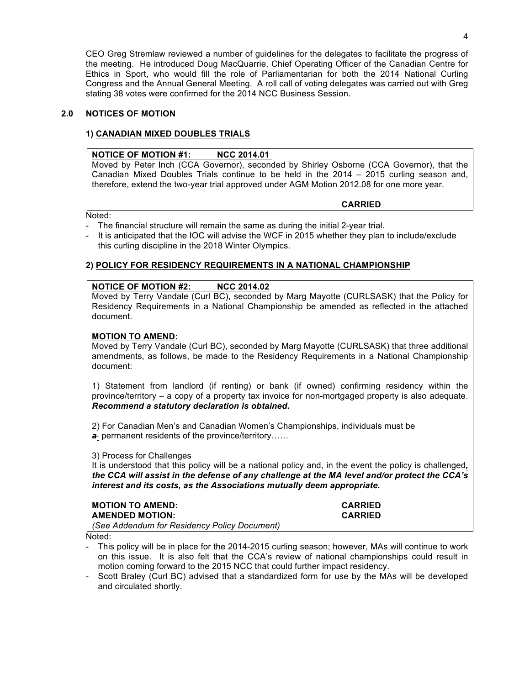CEO Greg Stremlaw reviewed a number of guidelines for the delegates to facilitate the progress of the meeting. He introduced Doug MacQuarrie, Chief Operating Officer of the Canadian Centre for Ethics in Sport, who would fill the role of Parliamentarian for both the 2014 National Curling Congress and the Annual General Meeting. A roll call of voting delegates was carried out with Greg stating 38 votes were confirmed for the 2014 NCC Business Session.

# **2.0 NOTICES OF MOTION**

# **1) CANADIAN MIXED DOUBLES TRIALS**

# **NOTICE OF MOTION #1: NCC 2014.01**

Moved by Peter Inch (CCA Governor), seconded by Shirley Osborne (CCA Governor), that the Canadian Mixed Doubles Trials continue to be held in the 2014 – 2015 curling season and, therefore, extend the two-year trial approved under AGM Motion 2012.08 for one more year.

**CARRIED**

Noted:

- The financial structure will remain the same as during the initial 2-year trial.
- It is anticipated that the IOC will advise the WCF in 2015 whether they plan to include/exclude this curling discipline in the 2018 Winter Olympics.

# **2) POLICY FOR RESIDENCY REQUIREMENTS IN A NATIONAL CHAMPIONSHIP**

# **NOTICE OF MOTION #2: NCC 2014.02**

Moved by Terry Vandale (Curl BC), seconded by Marg Mayotte (CURLSASK) that the Policy for Residency Requirements in a National Championship be amended as reflected in the attached document.

# **MOTION TO AMEND:**

Moved by Terry Vandale (Curl BC), seconded by Marg Mayotte (CURLSASK) that three additional amendments, as follows, be made to the Residency Requirements in a National Championship document:

1) Statement from landlord (if renting) or bank (if owned) confirming residency within the province/territory – a copy of a property tax invoice for non-mortgaged property is also adequate. *Recommend a statutory declaration is obtained***.**

2) For Canadian Men's and Canadian Women's Championships, individuals must be *a* permanent residents of the province/territory……

# 3) Process for Challenges

It is understood that this policy will be a national policy and, in the event the policy is challenged*, the CCA will assist in the defense of any challenge at the MA level and/or protect the CCA's interest and its costs, as the Associations mutually deem appropriate.*

| <b>MOTION TO AMEND:</b>                      | <b>CARRIED</b> |
|----------------------------------------------|----------------|
| <b>AMENDED MOTION:</b>                       | <b>CARRIED</b> |
| (See Addendum for Residency Policy Document) |                |

Noted:

This policy will be in place for the 2014-2015 curling season; however, MAs will continue to work on this issue. It is also felt that the CCA's review of national championships could result in motion coming forward to the 2015 NCC that could further impact residency.

- Scott Braley (Curl BC) advised that a standardized form for use by the MAs will be developed and circulated shortly.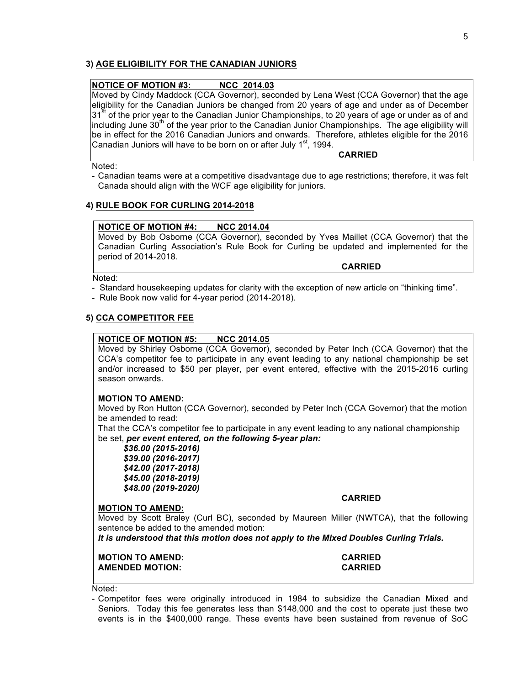# **3) AGE ELIGIBILITY FOR THE CANADIAN JUNIORS**

# **NOTICE OF MOTION #3: NCC 2014.03**

Moved by Cindy Maddock (CCA Governor), seconded by Lena West (CCA Governor) that the age eligibility for the Canadian Juniors be changed from 20 years of age and under as of December 31<sup>st</sup> of the prior year to the Canadian Junior Championships, to 20 years of age or under as of and including June  $30<sup>th</sup>$  of the year prior to the Canadian Junior Championships. The age eligibility will be in effect for the 2016 Canadian Juniors and onwards. Therefore, athletes eligible for the 2016 Canadian Juniors will have to be born on or after July  $1<sup>st</sup>$ , 1994.

Noted:

- Canadian teams were at a competitive disadvantage due to age restrictions; therefore, it was felt Canada should align with the WCF age eligibility for juniors.

#### **4) RULE BOOK FOR CURLING 2014-2018**

#### **NOTICE OF MOTION #4: NCC 2014.04**

Moved by Bob Osborne (CCA Governor), seconded by Yves Maillet (CCA Governor) that the Canadian Curling Association's Rule Book for Curling be updated and implemented for the period of 2014-2018.

Noted:

- Standard housekeeping updates for clarity with the exception of new article on "thinking time".
- Rule Book now valid for 4-year period (2014-2018).

#### **5) CCA COMPETITOR FEE**

#### **NOTICE OF MOTION #5: NCC 2014.05**

Moved by Shirley Osborne (CCA Governor), seconded by Peter Inch (CCA Governor) that the CCA's competitor fee to participate in any event leading to any national championship be set and/or increased to \$50 per player, per event entered, effective with the 2015-2016 curling season onwards.

#### **MOTION TO AMEND:**

Moved by Ron Hutton (CCA Governor), seconded by Peter Inch (CCA Governor) that the motion be amended to read:

That the CCA's competitor fee to participate in any event leading to any national championship be set, *per event entered, on the following 5-year plan:*

*\$36.00 (2015-2016) \$39.00 (2016-2017) \$42.00 (2017-2018) \$45.00 (2018-2019) \$48.00 (2019-2020)*

#### **CARRIED**

**CARRIED**

**CARRIED** 

#### **MOTION TO AMEND:**

Moved by Scott Braley (Curl BC), seconded by Maureen Miller (NWTCA), that the following sentence be added to the amended motion:

*It is understood that this motion does not apply to the Mixed Doubles Curling Trials.*

| <b>MOTION TO AMEND:</b> |  |
|-------------------------|--|
| <b>AMENDED MOTION:</b>  |  |



Noted:

- Competitor fees were originally introduced in 1984 to subsidize the Canadian Mixed and Seniors. Today this fee generates less than \$148,000 and the cost to operate just these two events is in the \$400,000 range. These events have been sustained from revenue of SoC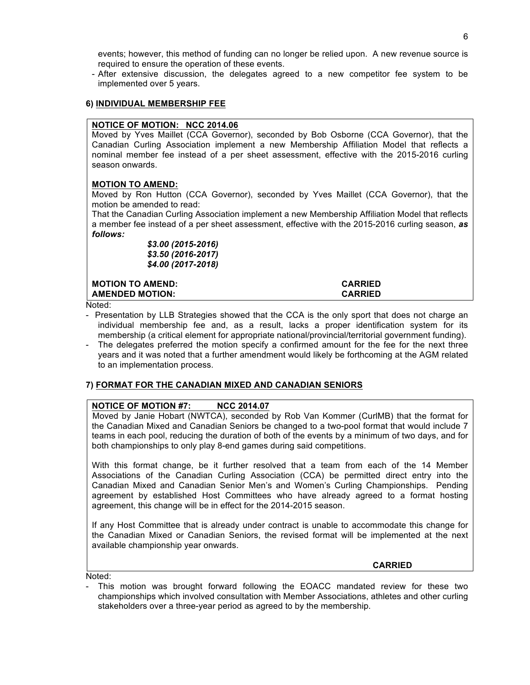events; however, this method of funding can no longer be relied upon. A new revenue source is required to ensure the operation of these events.

- After extensive discussion, the delegates agreed to a new competitor fee system to be implemented over 5 years.

### **6) INDIVIDUAL MEMBERSHIP FEE**

### **NOTICE OF MOTION: NCC 2014.06**

Moved by Yves Maillet (CCA Governor), seconded by Bob Osborne (CCA Governor), that the Canadian Curling Association implement a new Membership Affiliation Model that reflects a nominal member fee instead of a per sheet assessment, effective with the 2015-2016 curling season onwards.

# **MOTION TO AMEND:**

Moved by Ron Hutton (CCA Governor), seconded by Yves Maillet (CCA Governor), that the motion be amended to read:

That the Canadian Curling Association implement a new Membership Affiliation Model that reflects a member fee instead of a per sheet assessment, effective with the 2015-2016 curling season, *as follows:*

> *\$3.00 (2015-2016) \$3.50 (2016-2017) \$4.00 (2017-2018)*

**MOTION TO AMEND: CARRIED AMENDED MOTION: CARRIED** 

Noted:

- Presentation by LLB Strategies showed that the CCA is the only sport that does not charge an individual membership fee and, as a result, lacks a proper identification system for its membership (a critical element for appropriate national/provincial/territorial government funding).
- The delegates preferred the motion specify a confirmed amount for the fee for the next three years and it was noted that a further amendment would likely be forthcoming at the AGM related to an implementation process.

# **7) FORMAT FOR THE CANADIAN MIXED AND CANADIAN SENIORS**

# **NOTICE OF MOTION #7: NCC 2014.07**

Moved by Janie Hobart (NWTCA), seconded by Rob Van Kommer (CurlMB) that the format for the Canadian Mixed and Canadian Seniors be changed to a two-pool format that would include 7 teams in each pool, reducing the duration of both of the events by a minimum of two days, and for both championships to only play 8-end games during said competitions.

With this format change, be it further resolved that a team from each of the 14 Member Associations of the Canadian Curling Association (CCA) be permitted direct entry into the Canadian Mixed and Canadian Senior Men's and Women's Curling Championships. Pending agreement by established Host Committees who have already agreed to a format hosting agreement, this change will be in effect for the 2014-2015 season.

If any Host Committee that is already under contract is unable to accommodate this change for the Canadian Mixed or Canadian Seniors, the revised format will be implemented at the next available championship year onwards.

**CARRIED** 

Noted:

This motion was brought forward following the EOACC mandated review for these two championships which involved consultation with Member Associations, athletes and other curling stakeholders over a three-year period as agreed to by the membership.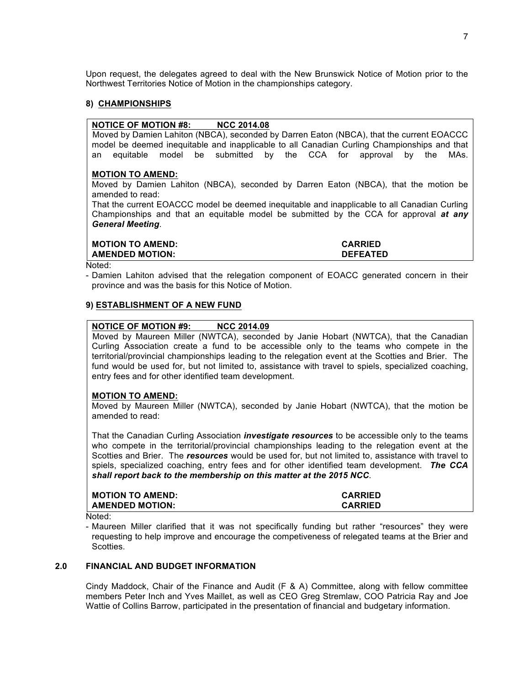Upon request, the delegates agreed to deal with the New Brunswick Notice of Motion prior to the Northwest Territories Notice of Motion in the championships category.

#### **8) CHAMPIONSHIPS**

#### **NOTICE OF MOTION #8: NCC 2014.08**

Moved by Damien Lahiton (NBCA), seconded by Darren Eaton (NBCA), that the current EOACCC model be deemed inequitable and inapplicable to all Canadian Curling Championships and that an equitable model be submitted by the CCA for approval by the MAs.

#### **MOTION TO AMEND:**

Moved by Damien Lahiton (NBCA), seconded by Darren Eaton (NBCA), that the motion be amended to read:

That the current EOACCC model be deemed inequitable and inapplicable to all Canadian Curling Championships and that an equitable model be submitted by the CCA for approval *at any General Meeting*.

| <b>MOTION TO AMEND:</b> | <b>CARRIED</b>  |
|-------------------------|-----------------|
| <b>AMENDED MOTION:</b>  | <b>DEFEATED</b> |
| .                       |                 |

Noted:

- Damien Lahiton advised that the relegation component of EOACC generated concern in their province and was the basis for this Notice of Motion.

#### **9) ESTABLISHMENT OF A NEW FUND**

#### **NOTICE OF MOTION #9: NCC 2014.09**

Moved by Maureen Miller (NWTCA), seconded by Janie Hobart (NWTCA), that the Canadian Curling Association create a fund to be accessible only to the teams who compete in the territorial/provincial championships leading to the relegation event at the Scotties and Brier. The fund would be used for, but not limited to, assistance with travel to spiels, specialized coaching, entry fees and for other identified team development.

#### **MOTION TO AMEND:**

Moved by Maureen Miller (NWTCA), seconded by Janie Hobart (NWTCA), that the motion be amended to read:

That the Canadian Curling Association *investigate resources* to be accessible only to the teams who compete in the territorial/provincial championships leading to the relegation event at the Scotties and Brier. The *resources* would be used for, but not limited to, assistance with travel to spiels, specialized coaching, entry fees and for other identified team development. *The CCA shall report back to the membership on this matter at the 2015 NCC*.

| <b>MOTION TO AMEND:</b> | <b>CARRIED</b> |
|-------------------------|----------------|
| <b>AMENDED MOTION:</b>  | <b>CARRIED</b> |

Noted:

- Maureen Miller clarified that it was not specifically funding but rather "resources" they were requesting to help improve and encourage the competiveness of relegated teams at the Brier and Scotties.

#### **2.0 FINANCIAL AND BUDGET INFORMATION**

Cindy Maddock, Chair of the Finance and Audit (F & A) Committee, along with fellow committee members Peter Inch and Yves Maillet, as well as CEO Greg Stremlaw, COO Patricia Ray and Joe Wattie of Collins Barrow, participated in the presentation of financial and budgetary information.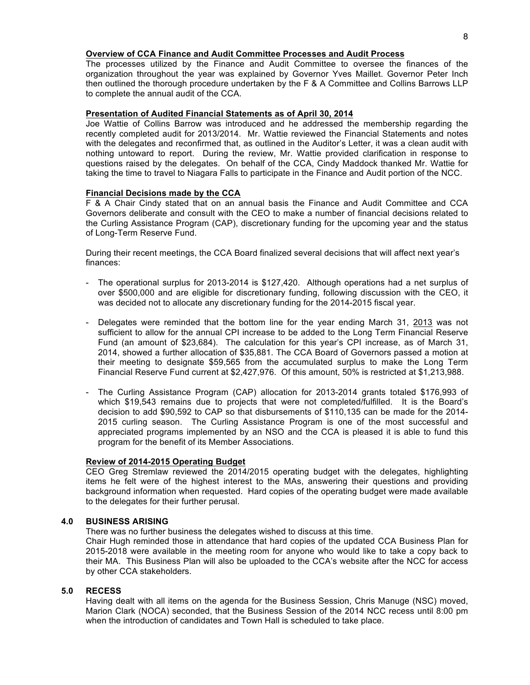#### **Overview of CCA Finance and Audit Committee Processes and Audit Process**

The processes utilized by the Finance and Audit Committee to oversee the finances of the organization throughout the year was explained by Governor Yves Maillet. Governor Peter Inch then outlined the thorough procedure undertaken by the F & A Committee and Collins Barrows LLP to complete the annual audit of the CCA.

#### **Presentation of Audited Financial Statements as of April 30, 2014**

Joe Wattie of Collins Barrow was introduced and he addressed the membership regarding the recently completed audit for 2013/2014. Mr. Wattie reviewed the Financial Statements and notes with the delegates and reconfirmed that, as outlined in the Auditor's Letter, it was a clean audit with nothing untoward to report. During the review, Mr. Wattie provided clarification in response to questions raised by the delegates. On behalf of the CCA, Cindy Maddock thanked Mr. Wattie for taking the time to travel to Niagara Falls to participate in the Finance and Audit portion of the NCC.

#### **Financial Decisions made by the CCA**

F & A Chair Cindy stated that on an annual basis the Finance and Audit Committee and CCA Governors deliberate and consult with the CEO to make a number of financial decisions related to the Curling Assistance Program (CAP), discretionary funding for the upcoming year and the status of Long-Term Reserve Fund.

During their recent meetings, the CCA Board finalized several decisions that will affect next year's finances:

- The operational surplus for 2013-2014 is \$127,420. Although operations had a net surplus of over \$500,000 and are eligible for discretionary funding, following discussion with the CEO, it was decided not to allocate any discretionary funding for the 2014-2015 fiscal year.
- Delegates were reminded that the bottom line for the year ending March 31, 2013 was not sufficient to allow for the annual CPI increase to be added to the Long Term Financial Reserve Fund (an amount of \$23,684). The calculation for this year's CPI increase, as of March 31, 2014, showed a further allocation of \$35,881. The CCA Board of Governors passed a motion at their meeting to designate \$59,565 from the accumulated surplus to make the Long Term Financial Reserve Fund current at \$2,427,976. Of this amount, 50% is restricted at \$1,213,988.
- The Curling Assistance Program (CAP) allocation for 2013-2014 grants totaled \$176,993 of which \$19,543 remains due to projects that were not completed/fulfilled. It is the Board's decision to add \$90,592 to CAP so that disbursements of \$110,135 can be made for the 2014- 2015 curling season. The Curling Assistance Program is one of the most successful and appreciated programs implemented by an NSO and the CCA is pleased it is able to fund this program for the benefit of its Member Associations.

#### **Review of 2014-2015 Operating Budget**

CEO Greg Stremlaw reviewed the 2014/2015 operating budget with the delegates, highlighting items he felt were of the highest interest to the MAs, answering their questions and providing background information when requested. Hard copies of the operating budget were made available to the delegates for their further perusal.

#### **4.0 BUSINESS ARISING**

There was no further business the delegates wished to discuss at this time.

Chair Hugh reminded those in attendance that hard copies of the updated CCA Business Plan for 2015-2018 were available in the meeting room for anyone who would like to take a copy back to their MA. This Business Plan will also be uploaded to the CCA's website after the NCC for access by other CCA stakeholders.

#### **5.0 RECESS**

Having dealt with all items on the agenda for the Business Session, Chris Manuge (NSC) moved, Marion Clark (NOCA) seconded, that the Business Session of the 2014 NCC recess until 8:00 pm when the introduction of candidates and Town Hall is scheduled to take place.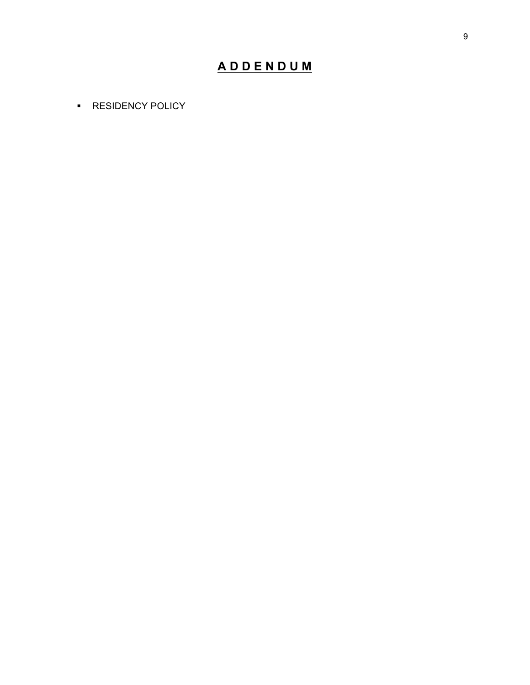# **A D D E N D U M**

**RESIDENCY POLICY**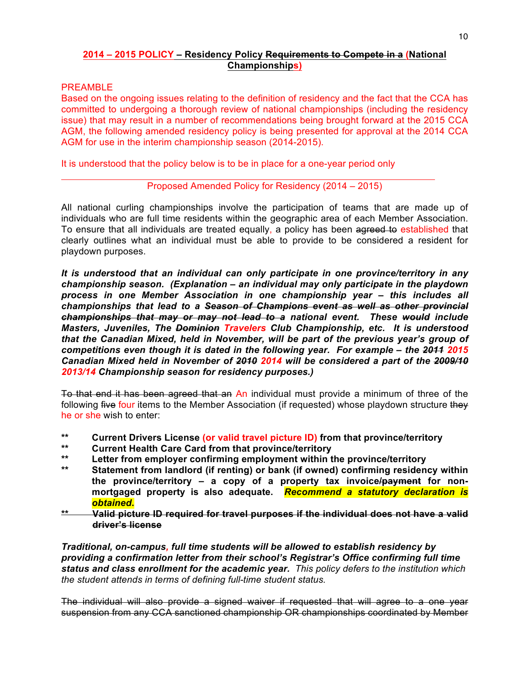# **2014 – 2015 POLICY – Residency Policy Requirements to Compete in a (National Championships)**

# PREAMBLE

Based on the ongoing issues relating to the definition of residency and the fact that the CCA has committed to undergoing a thorough review of national championships (including the residency issue) that may result in a number of recommendations being brought forward at the 2015 CCA AGM, the following amended residency policy is being presented for approval at the 2014 CCA AGM for use in the interim championship season (2014-2015).

It is understood that the policy below is to be in place for a one-year period only

# Proposed Amended Policy for Residency (2014 – 2015)

All national curling championships involve the participation of teams that are made up of individuals who are full time residents within the geographic area of each Member Association. To ensure that all individuals are treated equally, a policy has been agreed to established that clearly outlines what an individual must be able to provide to be considered a resident for playdown purposes.

*It is understood that an individual can only participate in one province/territory in any championship season. (Explanation – an individual may only participate in the playdown process in one Member Association in one championship year – this includes all championships that lead to a Season of Champions event as well as other provincial championships that may or may not lead to a national event. These would include Masters, Juveniles, The Dominion Travelers Club Championship, etc. It is understood that the Canadian Mixed, held in November, will be part of the previous year's group of competitions even though it is dated in the following year. For example – the 2011 2015 Canadian Mixed held in November of 2010 2014 will be considered a part of the 2009/10 2013/14 Championship season for residency purposes.)*

To that end it has been agreed that an An individual must provide a minimum of three of the following five four items to the Member Association (if requested) whose playdown structure they he or she wish to enter:

- **\*\* Current Drivers License (or valid travel picture ID) from that province/territory**
- **\*\* Current Health Care Card from that province/territory**
- **\*\* Letter from employer confirming employment within the province/territory**
- **\*\* Statement from landlord (if renting) or bank (if owned) confirming residency within the province/territory – a copy of a property tax invoice/payment for nonmortgaged property is also adequate.** *Recommend a statutory declaration is obtained***.**
- **\*\* Valid picture ID required for travel purposes if the individual does not have a valid driver's license**

*Traditional, on-campus, full time students will be allowed to establish residency by providing a confirmation letter from their school's Registrar's Office confirming full time status and class enrollment for the academic year. This policy defers to the institution which the student attends in terms of defining full-time student status.*

The individual will also provide a signed waiver if requested that will agree to a one year suspension from any CCA sanctioned championship OR championships coordinated by Member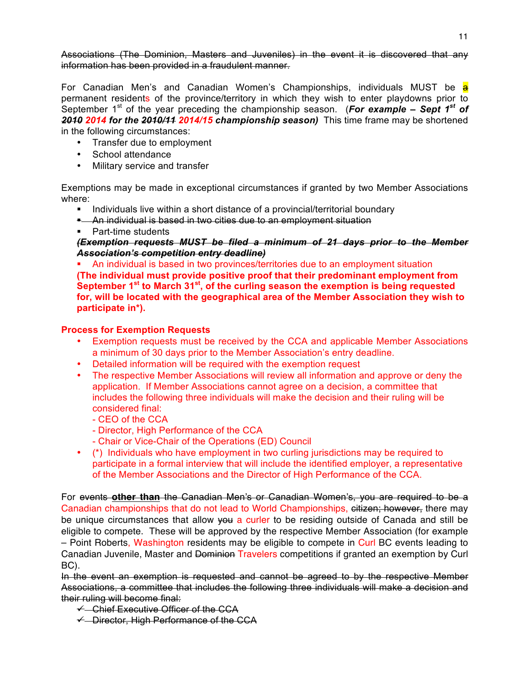Associations (The Dominion, Masters and Juveniles) in the event it is discovered that any information has been provided in a fraudulent manner.

For Canadian Men's and Canadian Women's Championships, individuals MUST be a permanent residents of the province/territory in which they wish to enter playdowns prior to September 1<sup>st</sup> of the year preceding the championship season. (For example – Sept 1<sup>st</sup> of *2010 2014 for the 2010/11 2014/15 championship season)* This time frame may be shortened in the following circumstances:

- Transfer due to employment
- School attendance
- Military service and transfer

Exemptions may be made in exceptional circumstances if granted by two Member Associations where:

- Individuals live within a short distance of a provincial/territorial boundary
- An individual is based in two cities due to an employment situation
- Part-time students

*(Exemption requests MUST be filed a minimum of 21 days prior to the Member Association's competition entry deadline)*

 An individual is based in two provinces/territories due to an employment situation **(The individual must provide positive proof that their predominant employment from September 1st to March 31st, of the curling season the exemption is being requested for, will be located with the geographical area of the Member Association they wish to participate in\*).**

# **Process for Exemption Requests**

- Exemption requests must be received by the CCA and applicable Member Associations a minimum of 30 days prior to the Member Association's entry deadline.
- Detailed information will be required with the exemption request
- The respective Member Associations will review all information and approve or deny the application. If Member Associations cannot agree on a decision, a committee that includes the following three individuals will make the decision and their ruling will be considered final:
	- CEO of the CCA
	- Director, High Performance of the CCA
	- Chair or Vice-Chair of the Operations (ED) Council
- (\*) Individuals who have employment in two curling jurisdictions may be required to participate in a formal interview that will include the identified employer, a representative of the Member Associations and the Director of High Performance of the CCA.

For events **other than** the Canadian Men's or Canadian Women's, you are required to be a Canadian championships that do not lead to World Championships, eitizen; however, there may be unique circumstances that allow vou a curler to be residing outside of Canada and still be eligible to compete. These will be approved by the respective Member Association (for example – Point Roberts, Washington residents may be eligible to compete in Curl BC events leading to Canadian Juvenile, Master and Dominion Travelers competitions if granted an exemption by Curl BC).

In the event an exemption is requested and cannot be agreed to by the respective Member Associations, a committee that includes the following three individuals will make a decision and their ruling will become final:

- $\leftarrow$  Chief Executive Officer of the CCA
- $\overline{\leftarrow}$  Director, High Performance of the CCA